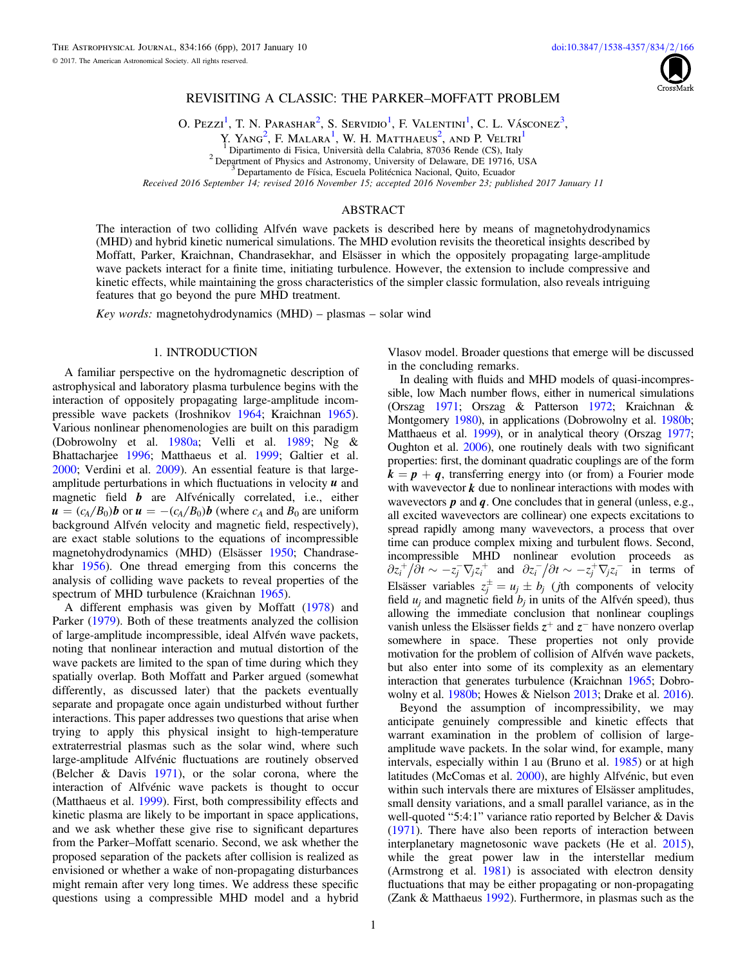

# REVISITING A CLASSIC: THE PARKER–MOFFATT PROBLEM

O. Pezzi<sup>[1](#page-0-0)</sup>, T. N. Parashar<sup>[2](#page-0-1)</sup>, S. Servidio<sup>1</sup>, F. Valentini<sup>1</sup>, C. L. Vásconez<sup>[3](#page-0-2)</sup>,

Y. Yang<sup>[2](#page-0-1)</sup>, F. Malara<sup>[1](#page-0-0)</sup>, W. H. Matthaeus<sup>2</sup>, and P. Veltri<sup>1</sup>

<sup>2</sup> Department of Physics and Astronomy, University of Delaware, DE 19716, USA  $\frac{3}{3}$  Departamento de Física, Escuela Politécnica Nacional, Quito, Ecuador

Received 2016 September 14; revised 2016 November 15; accepted 2016 November 23; published 2017 January 11

## ABSTRACT

<span id="page-0-2"></span><span id="page-0-1"></span><span id="page-0-0"></span>The interaction of two colliding Alfvén wave packets is described here by means of magnetohydrodynamics (MHD) and hybrid kinetic numerical simulations. The MHD evolution revisits the theoretical insights described by Moffatt, Parker, Kraichnan, Chandrasekhar, and Elsässer in which the oppositely propagating large-amplitude wave packets interact for a finite time, initiating turbulence. However, the extension to include compressive and kinetic effects, while maintaining the gross characteristics of the simpler classic formulation, also reveals intriguing features that go beyond the pure MHD treatment.

 $Key words: magnetohydrodynamics (MHD) – plasmas – solar wind)$ 

## 1. INTRODUCTION

A familiar perspective on the hydromagnetic description of astrophysical and laboratory plasma turbulence begins with the interaction of oppositely propagating large-amplitude incompressible wave packets (Iroshnikov [1964](#page-5-0); Kraichnan [1965](#page-5-1)). Various nonlinear phenomenologies are built on this paradigm (Dobrowolny et al. [1980a](#page-5-2); Velli et al. [1989;](#page-5-3) Ng & Bhattacharjee [1996](#page-5-4); Matthaeus et al. [1999;](#page-5-5) Galtier et al. [2000;](#page-5-6) Verdini et al. [2009](#page-5-7)). An essential feature is that largeamplitude perturbations in which fluctuations in velocity *u* and magnetic field *b* are Alfvénically correlated, i.e., either  $u = (c_A/B_0)$ **b** or  $u = -(c_A/B_0)$ **b** (where  $c_A$  and  $B_0$  are uniform background Alfvén velocity and magnetic field, respectively), are exact stable solutions to the equations of incompressible magnetohydrodynamics (MHD) (Elsässer [1950](#page-5-8); Chandrasekhar [1956](#page-5-9)). One thread emerging from this concerns the analysis of colliding wave packets to reveal properties of the spectrum of MHD turbulence (Kraichnan [1965](#page-5-1)).

A different emphasis was given by Moffatt ([1978](#page-5-10)) and Parker ([1979](#page-5-11)). Both of these treatments analyzed the collision of large-amplitude incompressible, ideal Alfvén wave packets, noting that nonlinear interaction and mutual distortion of the wave packets are limited to the span of time during which they spatially overlap. Both Moffatt and Parker argued (somewhat differently, as discussed later) that the packets eventually separate and propagate once again undisturbed without further interactions. This paper addresses two questions that arise when trying to apply this physical insight to high-temperature extraterrestrial plasmas such as the solar wind, where such large-amplitude Alfvénic fluctuations are routinely observed (Belcher & Davis [1971](#page-5-12)), or the solar corona, where the interaction of Alfvénic wave packets is thought to occur (Matthaeus et al. [1999](#page-5-13)). First, both compressibility effects and kinetic plasma are likely to be important in space applications, and we ask whether these give rise to significant departures from the Parker–Moffatt scenario. Second, we ask whether the proposed separation of the packets after collision is realized as envisioned or whether a wake of non-propagating disturbances might remain after very long times. We address these specific questions using a compressible MHD model and a hybrid

Vlasov model. Broader questions that emerge will be discussed in the concluding remarks.

In dealing with fluids and MHD models of quasi-incompressible, low Mach number flows, either in numerical simulations (Orszag [1971](#page-5-14); Orszag & Patterson [1972;](#page-5-15) Kraichnan & Montgomery [1980](#page-5-16)), in applications (Dobrowolny et al. [1980b](#page-5-17); Matthaeus et al. [1999](#page-5-13)), or in analytical theory (Orszag [1977](#page-5-18); Oughton et al. [2006](#page-5-19)), one routinely deals with two significant properties: first, the dominant quadratic couplings are of the form  $k = p + q$ , transferring energy into (or from) a Fourier mode with wavevector **k** due to nonlinear interactions with modes with wavevectors *p* and *q*. One concludes that in general (unless, e.g., all excited wavevectors are collinear) one expects excitations to spread rapidly among many wavevectors, a process that over time can produce complex mixing and turbulent flows. Second, incompressible MHD nonlinear evolution proceeds as  $\partial z_i^+ / \partial t \sim -z_j^- \nabla_j z_i^+$  and  $\partial z_i^- / \partial t \sim -z_j^+ \nabla_j z_i^-$  in terms of Elsässer variables  $z_i^{\pm} = u_j \pm b_j$  (*j*th components of velocity field  $u_i$  and magnetic field  $b_i$  in units of the Alfvén speed), thus allowing the immediate conclusion that nonlinear couplings vanish unless the Elsässer fields  $z^+$  and  $z^-$  have nonzero overlap somewhere in space. These properties not only provide motivation for the problem of collision of Alfvén wave packets, but also enter into some of its complexity as an elementary interaction that generates turbulence (Kraichnan [1965](#page-5-1); Dobrowolny et al. [1980b](#page-5-17); Howes & Nielson [2013;](#page-5-20) Drake et al. [2016](#page-5-21)).

Beyond the assumption of incompressibility, we may anticipate genuinely compressible and kinetic effects that warrant examination in the problem of collision of largeamplitude wave packets. In the solar wind, for example, many intervals, especially within 1 au (Bruno et al. [1985](#page-5-22)) or at high latitudes (McComas et al. [2000](#page-5-23)), are highly Alfvénic, but even within such intervals there are mixtures of Elsässer amplitudes, small density variations, and a small parallel variance, as in the well-quoted "5:4:1" variance ratio reported by Belcher & Davis ([1971](#page-5-12)). There have also been reports of interaction between interplanetary magnetosonic wave packets (He et al. [2015](#page-5-24)), while the great power law in the interstellar medium (Armstrong et al. [1981](#page-5-25)) is associated with electron density fluctuations that may be either propagating or non-propagating (Zank & Matthaeus [1992](#page-5-26)). Furthermore, in plasmas such as the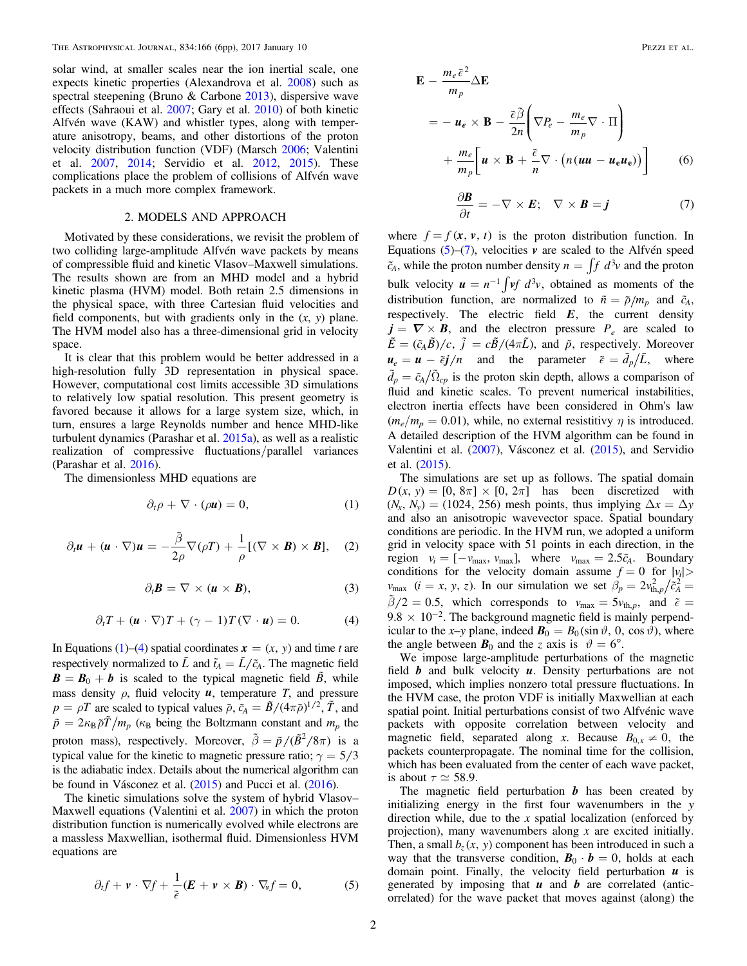solar wind, at smaller scales near the ion inertial scale, one expects kinetic properties (Alexandrova et al. [2008](#page-5-27)) such as spectral steepening (Bruno & Carbone [2013](#page-5-28)), dispersive wave effects (Sahraoui et al. [2007;](#page-5-29) Gary et al. [2010](#page-5-30)) of both kinetic Alfvén wave (KAW) and whistler types, along with temperature anisotropy, beams, and other distortions of the proton velocity distribution function (VDF) (Marsch [2006;](#page-5-31) Valentini et al. [2007,](#page-5-32) [2014](#page-5-33); Servidio et al. [2012](#page-5-34), [2015](#page-5-35)). These complications place the problem of collisions of Alfvén wave packets in a much more complex framework.

#### 2. MODELS AND APPROACH

Motivated by these considerations, we revisit the problem of two colliding large-amplitude Alfvén wave packets by means of compressible fluid and kinetic Vlasov–Maxwell simulations. The results shown are from an MHD model and a hybrid kinetic plasma (HVM) model. Both retain 2.5 dimensions in the physical space, with three Cartesian fluid velocities and field components, but with gradients only in the  $(x, y)$  plane. The HVM model also has a three-dimensional grid in velocity space.

It is clear that this problem would be better addressed in a high-resolution fully 3D representation in physical space. However, computational cost limits accessible 3D simulations to relatively low spatial resolution. This present geometry is favored because it allows for a large system size, which, in turn, ensures a large Reynolds number and hence MHD-like turbulent dynamics (Parashar et al. [2015a](#page-5-36)), as well as a realistic realization of compressive fluctuations/parallel variances (Parashar et al. [2016](#page-5-37)).

<span id="page-1-0"></span>The dimensionless MHD equations are

$$
\partial_t \rho + \nabla \cdot (\rho \mathbf{u}) = 0, \tag{1}
$$

$$
\partial_t \boldsymbol{u} + (\boldsymbol{u} \cdot \nabla) \boldsymbol{u} = -\frac{\tilde{\beta}}{2\rho} \nabla (\rho T) + \frac{1}{\rho} [(\nabla \times \boldsymbol{B}) \times \boldsymbol{B}], \quad (2)
$$

$$
\partial_t \mathbf{B} = \nabla \times (\mathbf{u} \times \mathbf{B}), \tag{3}
$$

$$
\partial_t T + (\mathbf{u} \cdot \nabla) T + (\gamma - 1) T (\nabla \cdot \mathbf{u}) = 0. \tag{4}
$$

<span id="page-1-1"></span>In Equations ([1](#page-1-0))–([4](#page-1-1)) spatial coordinates  $x = (x, y)$  and time t are respectively normalized to  $\tilde{L}$  and  $\tilde{t}_A = \tilde{L}/\tilde{c}_A$ . The magnetic field  $\mathbf{B} = \mathbf{B}_0 + \mathbf{b}$  is scaled to the typical magnetic field  $\tilde{\mathbf{B}}$ , while mass density  $\rho$ , fluid velocity  $u$ , temperature  $T$ , and pressure  $p = \rho T$  are scaled to typical values  $\tilde{\rho}$ ,  $\tilde{c}_A = \tilde{B}/(4\pi \tilde{\rho})^{1/2}$ ,  $\tilde{T}$ , and  $\tilde{p} = 2\kappa_{\rm B}\tilde{\rho}\tilde{T}/m_p$  ( $\kappa_{\rm B}$  being the Boltzmann constant and  $m_p$  the proton mass), respectively. Moreover,  $\tilde{\beta} = \tilde{p}/(\tilde{B}^2/8\pi)$  is a typical value for the kinetic to magnetic pressure ratio;  $\gamma = 5/3$ is the adiabatic index. Details about the numerical algorithm can be found in Vásconez et al. ([2015](#page-5-38)) and Pucci et al. ([2016](#page-5-39)).

<span id="page-1-2"></span>The kinetic simulations solve the system of hybrid Vlasov– Maxwell equations (Valentini et al. [2007](#page-5-33)) in which the proton distribution function is numerically evolved while electrons are a massless Maxwellian, isothermal fluid. Dimensionless HVM equations are

$$
\partial_t f + \mathbf{v} \cdot \nabla f + \frac{1}{\tilde{\epsilon}} (\mathbf{E} + \mathbf{v} \times \mathbf{B}) \cdot \nabla_{\mathbf{v}} f = 0, \tag{5}
$$

$$
\mathbf{E} - \frac{m_e \tilde{\epsilon}^2}{m_p} \Delta \mathbf{E}
$$
  
=  $-\boldsymbol{u}_e \times \mathbf{B} - \frac{\tilde{\epsilon} \tilde{\beta}}{2n} \left( \nabla P_e - \frac{m_e}{m_p} \nabla \cdot \Pi \right)$   
+  $\frac{m_e}{m_p} \left[ \boldsymbol{u} \times \mathbf{B} + \frac{\tilde{\epsilon}}{n} \nabla \cdot (n(\boldsymbol{u}\boldsymbol{u} - \boldsymbol{u}_e \boldsymbol{u}_e)) \right]$  (6)

$$
\frac{\partial \mathbf{B}}{\partial t} = -\nabla \times \mathbf{E}; \quad \nabla \times \mathbf{B} = \mathbf{j}
$$
 (7)

<span id="page-1-3"></span>where  $f = f(x, v, t)$  is the proton distribution function. In Equations  $(5)-(7)$  $(5)-(7)$  $(5)-(7)$  $(5)-(7)$  $(5)-(7)$ , velocities v are scaled to the Alfvén speed  $\tilde{c}_A$ , while the proton number density  $n = \int f \ d^3v$  and the proton bulk velocity  $u = n^{-1} \int v f d^3v$ , obtained as moments of the distribution function, are normalized to  $\tilde{n} = \tilde{p}/m_p$  and  $\tilde{c}_A$ , respectively. The electric field *E*, the current density  $j = \nabla \times B$ , and the electron pressure  $P_e$  are scaled to  $\tilde{E} = (\tilde{c}_A \tilde{B})/c$ ,  $\tilde{j} = c\tilde{B}/(4\pi \tilde{L})$ , and  $\tilde{p}$ , respectively. Moreover  $u_e = u - \tilde{\epsilon} j/n$  and the parameter  $\tilde{\epsilon} = \tilde{d}_p/\tilde{L}$ , where  $\tilde{d}_p = \tilde{c}_A / \tilde{\Omega}_{cp}$  is the proton skin depth, allows a comparison of fluid and kinetic scales. To prevent numerical instabilities, electron inertia effects have been considered in Ohm's law  $(m_e/m_p = 0.01)$ , while, no external resistitivy  $\eta$  is introduced. A detailed description of the HVM algorithm can be found in Valentini et al. ([2007](#page-5-33)), Vásconez et al. ([2015](#page-5-38)), and Servidio et al. ([2015](#page-5-35)).

The simulations are set up as follows. The spatial domain  $D(x, y) = [0, 8\pi] \times [0, 2\pi]$  has been discretized with  $(N_x, N_y) = (1024, 256)$  mesh points, thus implying  $\Delta x = \Delta y$ and also an anisotropic wavevector space. Spatial boundary conditions are periodic. In the HVM run, we adopted a uniform grid in velocity space with 51 points in each direction, in the region  $v_i = [-v_{max}, v_{max}]$ , where  $v_{max} = 2.5\tilde{c}_A$ . Boundary conditions for the velocity domain assume  $f = 0$  for  $|v_i| >$  $v_{\text{max}}$  (*i* = *x*, *y*, *z*). In our simulation we set  $\beta_p = 2v_{\text{th},p}^2/\tilde{c}_A^2$  $\tilde{\beta}/2 = 0.5$ , which corresponds to  $v_{\text{max}} = 5 v_{\text{th},p}$ , and  $\tilde{\epsilon} =$  $9.8 \times 10^{-2}$ . The background magnetic field is mainly perpendicular to the x-y plane, indeed  $B_0 = B_0 (\sin \vartheta, 0, \cos \vartheta)$ , where the angle between  $\mathbf{B}_0$  and the z axis is  $\vartheta = 6^\circ$ .

We impose large-amplitude perturbations of the magnetic field *b* and bulk velocity *u*. Density perturbations are not imposed, which implies nonzero total pressure fluctuations. In the HVM case, the proton VDF is initially Maxwellian at each spatial point. Initial perturbations consist of two Alfvénic wave packets with opposite correlation between velocity and magnetic field, separated along x. Because  $B_{0,x} \neq 0$ , the packets counterpropagate. The nominal time for the collision, which has been evaluated from the center of each wave packet, is about  $\tau \simeq 58.9$ .

The magnetic field perturbation *b* has been created by initializing energy in the first four wavenumbers in the y direction while, due to the  $x$  spatial localization (enforced by projection), many wavenumbers along  $x$  are excited initially. Then, a small  $b_z(x, y)$  component has been introduced in such a way that the transverse condition,  $\mathbf{B}_0 \cdot \mathbf{b} = 0$ , holds at each domain point. Finally, the velocity field perturbation *u* is generated by imposing that *u* and *b* are correlated (anticorrelated) for the wave packet that moves against (along) the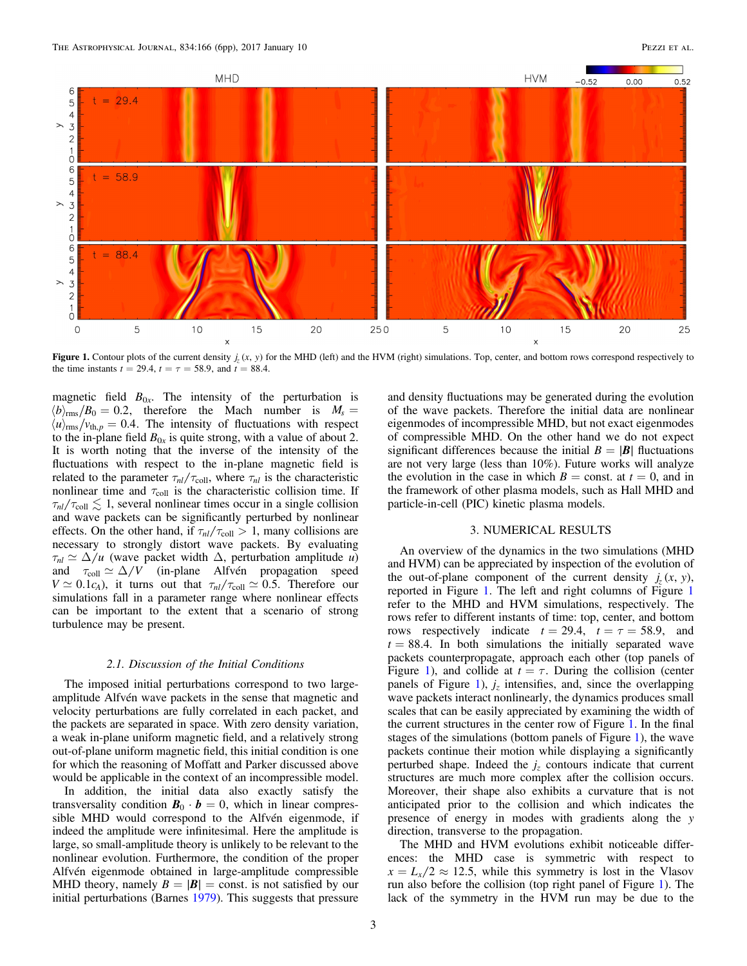<span id="page-2-0"></span>

**Figure 1.** Contour plots of the current density  $j_r(x, y)$  for the MHD (left) and the HVM (right) simulations. Top, center, and bottom rows correspond respectively to the time instants  $t = 29.4$ ,  $t = \tau = 58.9$ , and  $t = 88.4$ .

magnetic field  $B_{0x}$ . The intensity of the perturbation is  $\langle b \rangle_{\rm rms}/B_0 = 0.2$ , therefore the Mach number is  $M_s =$  $\langle u \rangle_{\text{rms}}/v_{\text{th},p} = 0.4$ . The intensity of fluctuations with respect to the in-plane field  $B_{0x}$  is quite strong, with a value of about 2. It is worth noting that the inverse of the intensity of the fluctuations with respect to the in-plane magnetic field is related to the parameter  $\tau_{nl}/\tau_{\text{coll}}$ , where  $\tau_{nl}$  is the characteristic nonlinear time and  $\tau_{\text{coll}}$  is the characteristic collision time. If  $\tau_{nl}/\tau_{\text{coll}} \lesssim 1$ , several nonlinear times occur in a single collision and wave packets can be significantly perturbed by nonlinear effects. On the other hand, if  $\tau_{nl}/\tau_{\text{coll}} > 1$ , many collisions are necessary to strongly distort wave packets. By evaluating  $\tau_{nl} \simeq \Delta/u$  (wave packet width  $\Delta$ , perturbation amplitude *u*) and  $\tau_{\text{coll}} \simeq \Delta/V$  (in-plane Alfvén propagation speed  $V \simeq 0.1c_A$ , it turns out that  $\tau_{nl}/\tau_{coll} \simeq 0.5$ . Therefore our simulations fall in a parameter range where nonlinear effects can be important to the extent that a scenario of strong turbulence may be present.

## 2.1. Discussion of the Initial Conditions

The imposed initial perturbations correspond to two largeamplitude Alfvén wave packets in the sense that magnetic and velocity perturbations are fully correlated in each packet, and the packets are separated in space. With zero density variation, a weak in-plane uniform magnetic field, and a relatively strong out-of-plane uniform magnetic field, this initial condition is one for which the reasoning of Moffatt and Parker discussed above would be applicable in the context of an incompressible model.

In addition, the initial data also exactly satisfy the transversality condition  $\mathbf{B}_0 \cdot \mathbf{b} = 0$ , which in linear compressible MHD would correspond to the Alfvén eigenmode, if indeed the amplitude were infinitesimal. Here the amplitude is large, so small-amplitude theory is unlikely to be relevant to the nonlinear evolution. Furthermore, the condition of the proper Alfvén eigenmode obtained in large-amplitude compressible MHD theory, namely  $B = |B|$  = const. is not satisfied by our initial perturbations (Barnes [1979](#page-5-40)). This suggests that pressure and density fluctuations may be generated during the evolution of the wave packets. Therefore the initial data are nonlinear eigenmodes of incompressible MHD, but not exact eigenmodes of compressible MHD. On the other hand we do not expect significant differences because the initial  $B = |B|$  fluctuations are not very large (less than 10%). Future works will analyze the evolution in the case in which  $B = \text{const.}$  at  $t = 0$ , and in the framework of other plasma models, such as Hall MHD and particle-in-cell (PIC) kinetic plasma models.

## 3. NUMERICAL RESULTS

An overview of the dynamics in the two simulations (MHD and HVM) can be appreciated by inspection of the evolution of the out-of-plane component of the current density  $j_z(x, y)$ , reported in Figure [1](#page-2-0). The left and right columns of Figure [1](#page-2-0) refer to the MHD and HVM simulations, respectively. The rows refer to different instants of time: top, center, and bottom rows respectively indicate  $t = 29.4$ ,  $t = \tau = 58.9$ , and  $t = 88.4$ . In both simulations the initially separated wave packets counterpropagate, approach each other (top panels of Figure [1](#page-2-0)), and collide at  $t = \tau$ . During the collision (center panels of Figure [1](#page-2-0)),  $j_z$  intensifies, and, since the overlapping wave packets interact nonlinearly, the dynamics produces small scales that can be easily appreciated by examining the width of the current structures in the center row of Figure [1.](#page-2-0) In the final stages of the simulations (bottom panels of Figure [1](#page-2-0)), the wave packets continue their motion while displaying a significantly perturbed shape. Indeed the  $j<sub>z</sub>$  contours indicate that current structures are much more complex after the collision occurs. Moreover, their shape also exhibits a curvature that is not anticipated prior to the collision and which indicates the presence of energy in modes with gradients along the y direction, transverse to the propagation.

The MHD and HVM evolutions exhibit noticeable differences: the MHD case is symmetric with respect to  $x = L_x/2 \approx 12.5$ , while this symmetry is lost in the Vlasov run also before the collision (top right panel of Figure [1](#page-2-0)). The lack of the symmetry in the HVM run may be due to the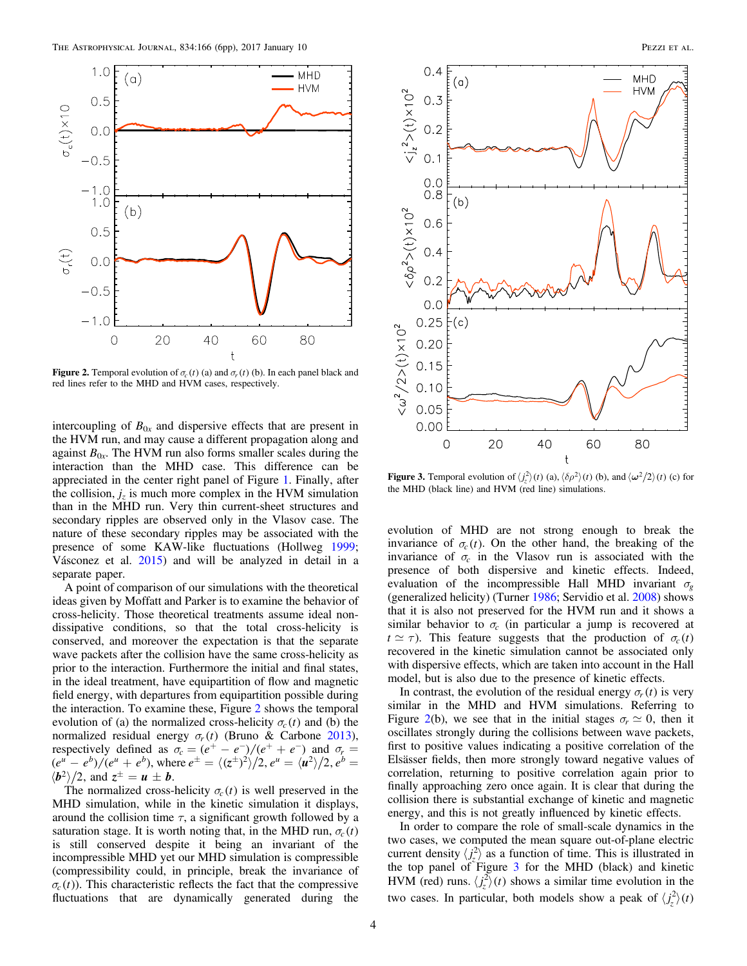<span id="page-3-0"></span>

**Figure 2.** Temporal evolution of  $\sigma_c(t)$  (a) and  $\sigma_r(t)$  (b). In each panel black and red lines refer to the MHD and HVM cases, respectively.

intercoupling of  $B_{0x}$  and dispersive effects that are present in the HVM run, and may cause a different propagation along and against  $B_{0x}$ . The HVM run also forms smaller scales during the interaction than the MHD case. This difference can be appreciated in the center right panel of Figure [1.](#page-2-0) Finally, after the collision,  $j_z$  is much more complex in the HVM simulation than in the MHD run. Very thin current-sheet structures and secondary ripples are observed only in the Vlasov case. The nature of these secondary ripples may be associated with the presence of some KAW-like fluctuations (Hollweg [1999](#page-5-41); Vásconez et al. [2015](#page-5-38)) and will be analyzed in detail in a separate paper.

A point of comparison of our simulations with the theoretical ideas given by Moffatt and Parker is to examine the behavior of cross-helicity. Those theoretical treatments assume ideal nondissipative conditions, so that the total cross-helicity is conserved, and moreover the expectation is that the separate wave packets after the collision have the same cross-helicity as prior to the interaction. Furthermore the initial and final states, in the ideal treatment, have equipartition of flow and magnetic field energy, with departures from equipartition possible during the interaction. To examine these, Figure [2](#page-3-0) shows the temporal evolution of (a) the normalized cross-helicity  $\sigma_c(t)$  and (b) the normalized residual energy  $\sigma_r(t)$  (Bruno & Carbone [2013](#page-5-28)), respectively defined as  $\sigma_c = (e^+ - e^-)/(e^+ + e^-)$  and  $\sigma_r =$  $(e^{u} - e^{b})/(e^{u} + e^{b})$ , where  $e^{\pm} = \langle (z^{\pm})^2 \rangle / 2$ ,  $e^{u} = \langle u^2 \rangle / 2$ ,  $e^{b} =$  $\langle \mathbf{b}^2 \rangle / 2$ , and  $z^{\pm} = \mathbf{u} \pm \mathbf{b}$ .

The normalized cross-helicity  $\sigma_c(t)$  is well preserved in the MHD simulation, while in the kinetic simulation it displays, around the collision time  $\tau$ , a significant growth followed by a saturation stage. It is worth noting that, in the MHD run,  $\sigma_c(t)$ is still conserved despite it being an invariant of the incompressible MHD yet our MHD simulation is compressible (compressibility could, in principle, break the invariance of  $\sigma_c(t)$ ). This characteristic reflects the fact that the compressive fluctuations that are dynamically generated during the

<span id="page-3-1"></span>

**Figure 3.** Temporal evolution of  $\langle t_2^2 \rangle(t)$  (a),  $\langle \delta \rho^2 \rangle(t)$  (b), and  $\langle \omega^2/2 \rangle(t)$  (c) for the MHD (block line) and HVM (red line) simulations the MHD (black line) and HVM (red line) simulations.

evolution of MHD are not strong enough to break the invariance of  $\sigma_c(t)$ . On the other hand, the breaking of the invariance of  $\sigma_c$  in the Vlasov run is associated with the presence of both dispersive and kinetic effects. Indeed, evaluation of the incompressible Hall MHD invariant  $\sigma_{g}$ (generalized helicity) (Turner [1986](#page-5-42); Servidio et al. [2008](#page-5-43)) shows that it is also not preserved for the HVM run and it shows a similar behavior to  $\sigma_c$  (in particular a jump is recovered at  $t \approx \tau$ ). This feature suggests that the production of  $\sigma_c(t)$ recovered in the kinetic simulation cannot be associated only with dispersive effects, which are taken into account in the Hall model, but is also due to the presence of kinetic effects.

In contrast, the evolution of the residual energy  $\sigma_r(t)$  is very similar in the MHD and HVM simulations. Referring to Figure [2](#page-3-0)(b), we see that in the initial stages  $\sigma_r \simeq 0$ , then it oscillates strongly during the collisions between wave packets, first to positive values indicating a positive correlation of the Elsässer fields, then more strongly toward negative values of correlation, returning to positive correlation again prior to finally approaching zero once again. It is clear that during the collision there is substantial exchange of kinetic and magnetic energy, and this is not greatly influenced by kinetic effects.

In order to compare the role of small-scale dynamics in the two cases, we computed the mean square out-of-plane electric current density  $\langle j_z^2 \rangle$  as a function of time. This is illustrated in the top panel of  $\text{Figure 3}$  $\text{Figure 3}$  $\text{Figure 3}$  for the MHD (black) and kinetic HVM (red) runs.  $\langle j_z^2 \rangle(t)$  shows a similar time evolution in the two cases. In particular, both models show a peak of  $\langle j_z^2 \rangle(t)$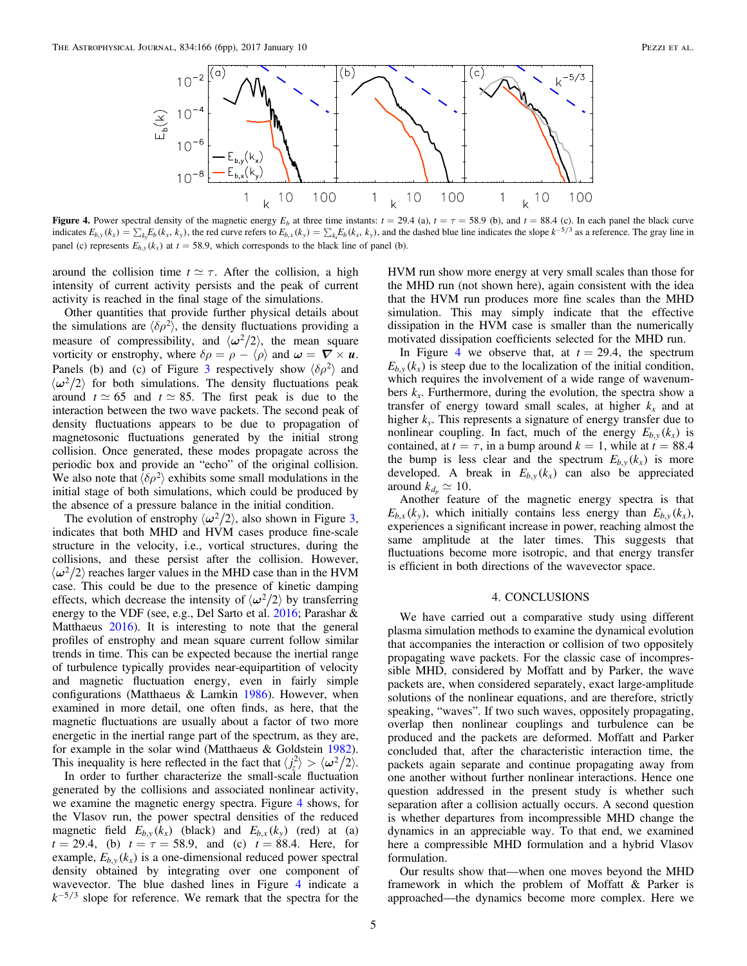<span id="page-4-0"></span>

Figure 4. Power spectral density of the magnetic energy  $E_b$  at three time instants:  $t = 29.4$  (a),  $t = \tau = 58.9$  (b), and  $t = 88.4$  (c). In each panel the black curve indicates  $E_{b,y}(k_x) = \sum_{k_y} E_b(k_x, k_y)$ , the red curve refers to  $E_{b,x}(k_y) = \sum_{k_x} E_b(k_x, k_y)$ , and the dashed blue line indicates the slope  $k^{-5/3}$  as a reference. The gray line in panel (c) represents  $E_{b,y}(k_x)$  at  $t = 58.9$ , which corresponds to the black line of panel (b).

around the collision time  $t \approx \tau$ . After the collision, a high intensity of current activity persists and the peak of current activity is reached in the final stage of the simulations.

Other quantities that provide further physical details about the simulations are  $\langle \delta \rho^2 \rangle$ , the density fluctuations providing a measure of compressibility, and  $\langle \omega^2/2 \rangle$ , the mean square vorticity or enstrophy, where  $\delta \rho = \rho - \langle \rho \rangle$  and  $\omega = \nabla \times u$ . Panels (b) and (c) of Figure [3](#page-3-1) respectively show  $\langle \delta \rho^2 \rangle$  and  $\langle \omega^2/2 \rangle$  for both simulations. The density fluctuations peak around  $t \approx 65$  and  $t \approx 85$ . The first peak is due to the interaction between the two wave packets. The second peak of density fluctuations appears to be due to propagation of magnetosonic fluctuations generated by the initial strong collision. Once generated, these modes propagate across the periodic box and provide an "echo" of the original collision. We also note that  $\langle \delta \rho^2 \rangle$  exhibits some small modulations in the initial stage of both simulations, which could be produced by the absence of a pressure balance in the initial condition.

The evolution of enstrophy  $\langle \omega^2/2 \rangle$ , also shown in Figure [3,](#page-3-1) indicates that both MHD and HVM cases produce fine-scale structure in the velocity, i.e., vortical structures, during the collisions, and these persist after the collision. However,  $\langle \omega^2/2 \rangle$  reaches larger values in the MHD case than in the HVM case. This could be due to the presence of kinetic damping effects, which decrease the intensity of  $\langle \omega^2/2 \rangle$  by transferring energy to the VDF (see, e.g., Del Sarto et al. [2016](#page-5-44); Parashar & Matthaeus [2016](#page-5-45)). It is interesting to note that the general profiles of enstrophy and mean square current follow similar trends in time. This can be expected because the inertial range of turbulence typically provides near-equipartition of velocity and magnetic fluctuation energy, even in fairly simple configurations (Matthaeus & Lamkin [1986](#page-5-46)). However, when examined in more detail, one often finds, as here, that the magnetic fluctuations are usually about a factor of two more energetic in the inertial range part of the spectrum, as they are, for example in the solar wind (Matthaeus & Goldstein [1982](#page-5-47)). This inequality is here reflected in the fact that  $\langle j_z^2 \rangle > \langle \omega^2/2 \rangle$ .

In order to further characterize the small-scale fluctuation generated by the collisions and associated nonlinear activity, we examine the magnetic energy spectra. Figure [4](#page-4-0) shows, for the Vlasov run, the power spectral densities of the reduced magnetic field  $E_{b,y}(k_x)$  (black) and  $E_{b,x}(k_y)$  (red) at (a)  $t = 29.4$ , (b)  $t = \tau = 58.9$ , and (c)  $t = 88.4$ . Here, for example,  $E_{b,y}(k_x)$  is a one-dimensional reduced power spectral density obtained by integrating over one component of wavevector. The blue dashed lines in Figure [4](#page-4-0) indicate a  $k^{-5/3}$  slope for reference. We remark that the spectra for the

HVM run show more energy at very small scales than those for the MHD run (not shown here), again consistent with the idea that the HVM run produces more fine scales than the MHD simulation. This may simply indicate that the effective dissipation in the HVM case is smaller than the numerically motivated dissipation coefficients selected for the MHD run.

In Figure [4](#page-4-0) we observe that, at  $t = 29.4$ , the spectrum  $E_{b,y}(k_x)$  is steep due to the localization of the initial condition, which requires the involvement of a wide range of wavenumbers  $k_x$ . Furthermore, during the evolution, the spectra show a transfer of energy toward small scales, at higher  $k_x$  and at higher  $k_v$ . This represents a signature of energy transfer due to nonlinear coupling. In fact, much of the energy  $E_{b,y}(k_x)$  is contained, at  $t = \tau$ , in a bump around  $k = 1$ , while at  $t = 88.4$ the bump is less clear and the spectrum  $E_{b,y}(k_x)$  is more developed. A break in  $E_{b,y}(k_x)$  can also be appreciated around  $k_{d_n} \simeq 10$ .

Another feature of the magnetic energy spectra is that  $E_{b,x}(k_y)$ , which initially contains less energy than  $E_{b,y}(k_x)$ , experiences a significant increase in power, reaching almost the same amplitude at the later times. This suggests that fluctuations become more isotropic, and that energy transfer is efficient in both directions of the wavevector space.

### 4. CONCLUSIONS

We have carried out a comparative study using different plasma simulation methods to examine the dynamical evolution that accompanies the interaction or collision of two oppositely propagating wave packets. For the classic case of incompressible MHD, considered by Moffatt and by Parker, the wave packets are, when considered separately, exact large-amplitude solutions of the nonlinear equations, and are therefore, strictly speaking, "waves". If two such waves, oppositely propagating, overlap then nonlinear couplings and turbulence can be produced and the packets are deformed. Moffatt and Parker concluded that, after the characteristic interaction time, the packets again separate and continue propagating away from one another without further nonlinear interactions. Hence one question addressed in the present study is whether such separation after a collision actually occurs. A second question is whether departures from incompressible MHD change the dynamics in an appreciable way. To that end, we examined here a compressible MHD formulation and a hybrid Vlasov formulation.

Our results show that—when one moves beyond the MHD framework in which the problem of Moffatt & Parker is approached—the dynamics become more complex. Here we